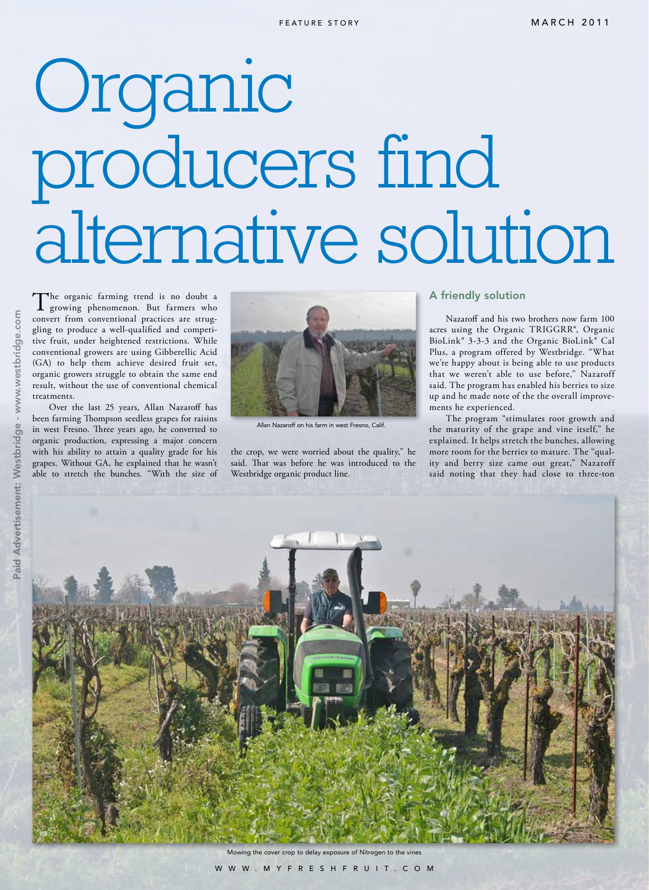## Organic producers find alternative solution

The organic farming trend is no doubt a growing phenomenon. But farmers who convert from conventional practices are struggling to produce a well-qualified and competitive fruit, under heightened restrictions. While conventional growers are using Gibberellic Acid (GA) to help them achieve desired fruit set, organic growers struggle to obtain the same end result, without the use of conventional chemical treatments.

Over the last 25 years, Allan Nazaroff has been farming Thompson seedless grapes for raisins in west Fresno. Three years ago, he converted to organic production, expressing a major concern with his ability to attain a quality grade for his grapes. Without GA, he explained that he wasn't able to stretch the bunches. "With the size of



Allan Nazaroff on his farm in west Fresno, Calif.

the crop, we were worried about the quality," he said. That was before he was introduced to the Westbridge organic product line.

## A friendly solution

Nazaroff and his two brothers now farm 100 acres using the Organic TRIGGRR®, Organic BioLink® 3-3-3 and the Organic BioLink® Cal Plus, a program offered by Westbridge. "What we're happy about is being able to use products that we weren't able to use before," Nazaroff said. The program has enabled his berries to size up and he made note of the the overall improvements he experienced.

The program "stimulates root growth and the maturity of the grape and vine itself," he explained. It helps stretch the bunches, allowing more room for the berries to mature. The "quality and berry size came out great," Nazaroff said noting that they had close to three-ton